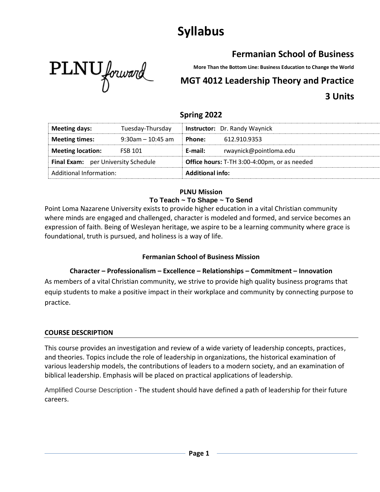# **Syllabus**

## **Fermanian School of Business**



**More Than the Bottom Line: Business Education to Change the World**

## **MGT 4012 Leadership Theory and Practice 3 Units**

## **Spring 2022**

| <b>Meeting days:</b>                | Tuesday-Thursday     |                                              | <b>Instructor:</b> Dr. Randy Waynick |
|-------------------------------------|----------------------|----------------------------------------------|--------------------------------------|
| <b>Meeting times:</b>               | $9:30$ am - 10:45 am | Phone:                                       | 612.910.9353                         |
| <b>Meeting location:</b>            | <b>FSB 101</b>       | E-mail:                                      | rwaynick@pointloma.edu               |
| Final Exam: per University Schedule |                      | Office hours: T-TH 3:00-4:00pm, or as needed |                                      |
| Additional Information:             |                      | <b>Additional info:</b>                      |                                      |

### **PLNU Mission To Teach ~ To Shape ~ To Send**

Point Loma Nazarene University exists to provide higher education in a vital Christian community where minds are engaged and challenged, character is modeled and formed, and service becomes an expression of faith. Being of Wesleyan heritage, we aspire to be a learning community where grace is foundational, truth is pursued, and holiness is a way of life.

## **Fermanian School of Business Mission**

**Character – Professionalism – Excellence – Relationships – Commitment – Innovation** As members of a vital Christian community, we strive to provide high quality business programs that equip students to make a positive impact in their workplace and community by connecting purpose to practice.

## **COURSE DESCRIPTION**

This course provides an investigation and review of a wide variety of leadership concepts, practices, and theories. Topics include the role of leadership in organizations, the historical examination of various leadership models, the contributions of leaders to a modern society, and an examination of biblical leadership. Emphasis will be placed on practical applications of leadership.

Amplified Course Description - The student should have defined a path of leadership for their future careers.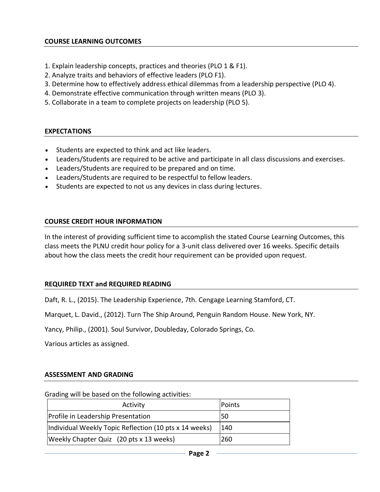#### **COURSE LEARNING OUTCOMES**

- 1. Explain leadership concepts, practices and theories (PLO 1 & F1).
- 2. Analyze traits and behaviors of effective leaders (PLO F1).
- 3. Determine how to effectively address ethical dilemmas from a leadership perspective (PLO 4).
- 4. Demonstrate effective communication through written means (PLO 3).
- 5. Collaborate in a team to complete projects on leadership (PLO 5).

#### **EXPECTATIONS**

- Students are expected to think and act like leaders.
- Leaders/Students are required to be active and participate in all class discussions and exercises.
- Leaders/Students are required to be prepared and on time.
- Leaders/Students are required to be respectful to fellow leaders.
- Students are expected to not us any devices in class during lectures.

#### **COURSE CREDIT HOUR INFORMATION**

In the interest of providing sufficient time to accomplish the stated Course Learning Outcomes, this class meets the PLNU credit hour policy for a 3-unit class delivered over 16 weeks. Specific details about how the class meets the credit hour requirement can be provided upon request.

#### **REQUIRED TEXT and REQUIRED READING**

Daft, R. L., (2015). The Leadership Experience, 7th. Cengage Learning Stamford, CT.

Marquet, L. David., (2012). Turn The Ship Around, Penguin Random House. New York, NY.

Yancy, Philip., (2001). Soul Survivor, Doubleday, Colorado Springs, Co.

Various articles as assigned.

#### **ASSESSMENT AND GRADING**

#### Grading will be based on the following activities:

| Activity                                               | Points |
|--------------------------------------------------------|--------|
| Profile in Leadership Presentation                     | I50    |
| Individual Weekly Topic Reflection (10 pts x 14 weeks) | 140    |
| Weekly Chapter Quiz (20 pts x 13 weeks)                | 260    |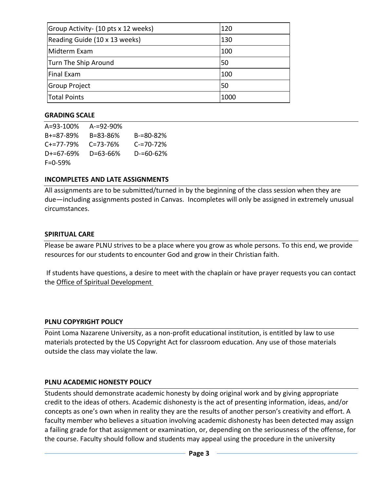| Group Activity - (10 pts x 12 weeks) | 120  |
|--------------------------------------|------|
| Reading Guide (10 x 13 weeks)        | 130  |
| Midterm Exam                         | 100  |
| Turn The Ship Around                 | 50   |
| <b>Final Exam</b>                    | 100  |
| Group Project                        | 50   |
| Total Points                         | 1000 |

#### **GRADING SCALE**

| $A = 93 - 100\%$ | $A = 92 - 90%$ |                |
|------------------|----------------|----------------|
| $B + = 87 - 89%$ | B=83-86%       | B-=80-82%      |
| $C_{+}=77-79%$   | $C = 73 - 76%$ | $C = 70 - 72%$ |
| $D+=67-69%$      | D=63-66%       | $D = 60 - 62%$ |
| $F = 0.59%$      |                |                |

#### **INCOMPLETES AND LATE ASSIGNMENTS**

All assignments are to be submitted/turned in by the beginning of the class session when they are due—including assignments posted in Canvas. Incompletes will only be assigned in extremely unusual circumstances.

#### **SPIRITUAL CARE**

Please be aware PLNU strives to be a place where you grow as whole persons. To this end, we provide resources for our students to encounter God and grow in their Christian faith.

If students have questions, a desire to meet with the chaplain or have prayer requests you can contact the [Office of Spiritual Development](https://www.pointloma.edu/offices/spiritual-development)

#### **PLNU COPYRIGHT POLICY**

Point Loma Nazarene University, as a non-profit educational institution, is entitled by law to use materials protected by the US Copyright Act for classroom education. Any use of those materials outside the class may violate the law.

#### **PLNU ACADEMIC HONESTY POLICY**

Students should demonstrate academic honesty by doing original work and by giving appropriate credit to the ideas of others. Academic dishonesty is the act of presenting information, ideas, and/or concepts as one's own when in reality they are the results of another person's creativity and effort. A faculty member who believes a situation involving academic dishonesty has been detected may assign a failing grade for that assignment or examination, or, depending on the seriousness of the offense, for the course. Faculty should follow and students may appeal using the procedure in the university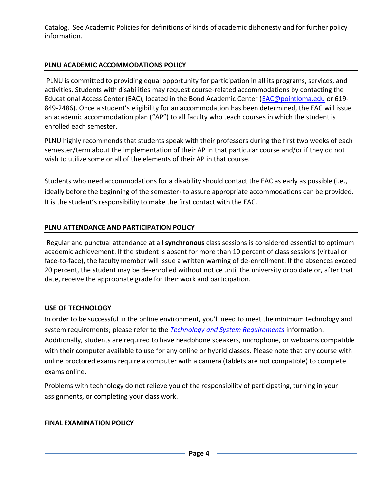Catalog. See [Academic Policies](http://www.pointloma.edu/experience/academics/catalogs/undergraduate-catalog/point-loma-education/academic-policies) for definitions of kinds of academic dishonesty and for further policy information.

### **PLNU ACADEMIC ACCOMMODATIONS POLICY**

PLNU is committed to providing equal opportunity for participation in all its programs, services, and activities. Students with disabilities may request course-related accommodations by contacting the Educational Access Center (EAC), located in the Bond Academic Center [\(EAC@pointloma.edu](mailto:EAC@pointloma.edu) or 619- 849-2486). Once a student's eligibility for an accommodation has been determined, the EAC will issue an academic accommodation plan ("AP") to all faculty who teach courses in which the student is enrolled each semester.

PLNU highly recommends that students speak with their professors during the first two weeks of each semester/term about the implementation of their AP in that particular course and/or if they do not wish to utilize some or all of the elements of their AP in that course.

Students who need accommodations for a disability should contact the EAC as early as possible (i.e., ideally before the beginning of the semester) to assure appropriate accommodations can be provided. It is the student's responsibility to make the first contact with the EAC.

#### **PLNU ATTENDANCE AND PARTICIPATION POLICY**

Regular and punctual attendance at all **synchronous** class sessions is considered essential to optimum academic achievement. If the student is absent for more than 10 percent of class sessions (virtual or face-to-face), the faculty member will issue a written warning of de-enrollment. If the absences exceed 20 percent, the student may be de-enrolled without notice until the university drop date or, after that date, receive the appropriate grade for their work and participation.

#### **USE OF TECHNOLOGY**

In order to be successful in the online environment, you'll need to meet the minimum technology and system requirements; please refer to the *[Technology and System Requirements](https://help.pointloma.edu/TDClient/1808/Portal/KB/ArticleDet?ID=108349)* information. Additionally, students are required to have headphone speakers, microphone, or webcams compatible with their computer available to use for any online or hybrid classes. Please note that any course with online proctored exams require a computer with a camera (tablets are not compatible) to complete exams online.

Problems with technology do not relieve you of the responsibility of participating, turning in your assignments, or completing your class work.

#### **FINAL EXAMINATION POLICY**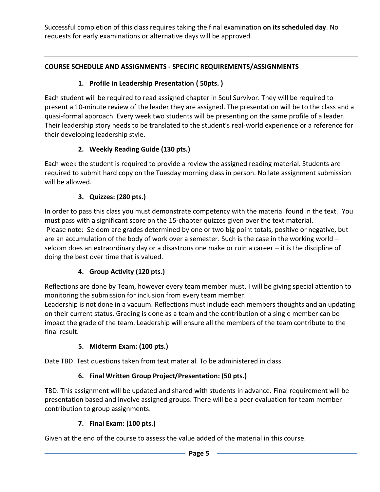Successful completion of this class requires taking the final examination **on its scheduled day**. No requests for early examinations or alternative days will be approved.

## **COURSE SCHEDULE AND ASSIGNMENTS - SPECIFIC REQUIREMENTS/ASSIGNMENTS**

## **1. Profile in Leadership Presentation ( 50pts. )**

Each student will be required to read assigned chapter in Soul Survivor. They will be required to present a 10-minute review of the leader they are assigned. The presentation will be to the class and a quasi-formal approach. Every week two students will be presenting on the same profile of a leader. Their leadership story needs to be translated to the student's real-world experience or a reference for their developing leadership style.

## **2. Weekly Reading Guide (130 pts.)**

Each week the student is required to provide a review the assigned reading material. Students are required to submit hard copy on the Tuesday morning class in person. No late assignment submission will be allowed.

## **3. Quizzes: (280 pts.)**

In order to pass this class you must demonstrate competency with the material found in the text. You must pass with a significant score on the 15-chapter quizzes given over the text material. Please note: Seldom are grades determined by one or two big point totals, positive or negative, but are an accumulation of the body of work over a semester. Such is the case in the working world – seldom does an extraordinary day or a disastrous one make or ruin a career – it is the discipline of doing the best over time that is valued.

## **4. Group Activity (120 pts.)**

Reflections are done by Team, however every team member must, I will be giving special attention to monitoring the submission for inclusion from every team member.

Leadership is not done in a vacuum. Reflections must include each members thoughts and an updating on their current status. Grading is done as a team and the contribution of a single member can be impact the grade of the team. Leadership will ensure all the members of the team contribute to the final result.

## **5. Midterm Exam: (100 pts.)**

Date TBD. Test questions taken from text material. To be administered in class.

## **6. Final Written Group Project/Presentation: (50 pts.)**

TBD. This assignment will be updated and shared with students in advance. Final requirement will be presentation based and involve assigned groups. There will be a peer evaluation for team member contribution to group assignments.

## **7. Final Exam: (100 pts.)**

Given at the end of the course to assess the value added of the material in this course.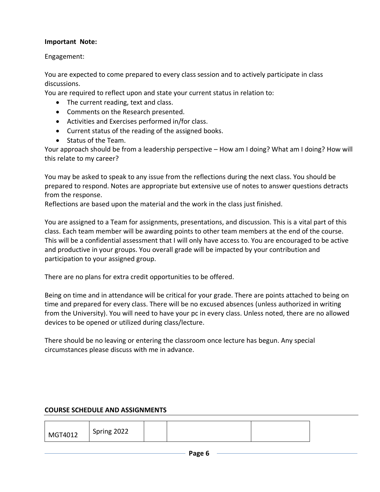#### **Important Note:**

Engagement:

You are expected to come prepared to every class session and to actively participate in class discussions.

You are required to reflect upon and state your current status in relation to:

- The current reading, text and class.
- Comments on the Research presented.
- Activities and Exercises performed in/for class.
- Current status of the reading of the assigned books.
- Status of the Team.

Your approach should be from a leadership perspective – How am I doing? What am I doing? How will this relate to my career?

You may be asked to speak to any issue from the reflections during the next class. You should be prepared to respond. Notes are appropriate but extensive use of notes to answer questions detracts from the response.

Reflections are based upon the material and the work in the class just finished.

You are assigned to a Team for assignments, presentations, and discussion. This is a vital part of this class. Each team member will be awarding points to other team members at the end of the course. This will be a confidential assessment that I will only have access to. You are encouraged to be active and productive in your groups. You overall grade will be impacted by your contribution and participation to your assigned group.

There are no plans for extra credit opportunities to be offered.

Being on time and in attendance will be critical for your grade. There are points attached to being on time and prepared for every class. There will be no excused absences (unless authorized in writing from the University). You will need to have your pc in every class. Unless noted, there are no allowed devices to be opened or utilized during class/lecture.

There should be no leaving or entering the classroom once lecture has begun. Any special circumstances please discuss with me in advance.

#### **COURSE SCHEDULE AND ASSIGNMENTS**

| MGT4012 | Spring 2022 |  |  |  |
|---------|-------------|--|--|--|
|---------|-------------|--|--|--|